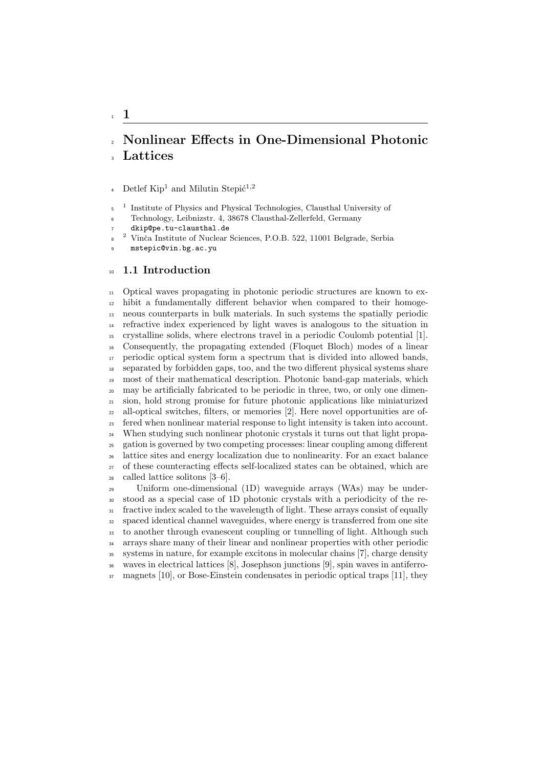# Nonlinear Effects in One-Dimensional Photonic **Lattices**

4 Detlef  $\text{Kip}^1$  and Milutin Stepi $\acute{c}^{1,2}$ 

Institute of Physics and Physical Technologies, Clausthal University of

Technology, Leibnizstr. 4, 38678 Clausthal-Zellerfeld, Germany

dkip@pe.tu-clausthal.de<br><sup>2</sup> Vinže Institute of Nuclear

<sup>2</sup> Vinča Institute of Nuclear Sciences, P.O.B. 522, 11001 Belgrade, Serbia

mstepic@vin.bg.ac.yu

#### 10 1.1 Introduction

 Optical waves propagating in photonic periodic structures are known to ex- hibit a fundamentally different behavior when compared to their homoge- neous counterparts in bulk materials. In such systems the spatially periodic refractive index experienced by light waves is analogous to the situation in crystalline solids, where electrons travel in a periodic Coulomb potential [1]. Consequently, the propagating extended (Floquet Bloch) modes of a linear periodic optical system form a spectrum that is divided into allowed bands, separated by forbidden gaps, too, and the two different physical systems share most of their mathematical description. Photonic band-gap materials, which may be artificially fabricated to be periodic in three, two, or only one dimen- sion, hold strong promise for future photonic applications like miniaturized all-optical switches, filters, or memories [2]. Here novel opportunities are of- fered when nonlinear material response to light intensity is taken into account. When studying such nonlinear photonic crystals it turns out that light propa- gation is governed by two competing processes: linear coupling among different lattice sites and energy localization due to nonlinearity. For an exact balance of these counteracting effects self-localized states can be obtained, which are called lattice solitons [3–6].

 Uniform one-dimensional (1D) waveguide arrays (WAs) may be under- stood as a special case of 1D photonic crystals with a periodicity of the re- fractive index scaled to the wavelength of light. These arrays consist of equally spaced identical channel waveguides, where energy is transferred from one site to another through evanescent coupling or tunnelling of light. Although such arrays share many of their linear and nonlinear properties with other periodic systems in nature, for example excitons in molecular chains [7], charge density waves in electrical lattices [8], Josephson junctions [9], spin waves in antiferro-magnets [10], or Bose-Einstein condensates in periodic optical traps [11], they

1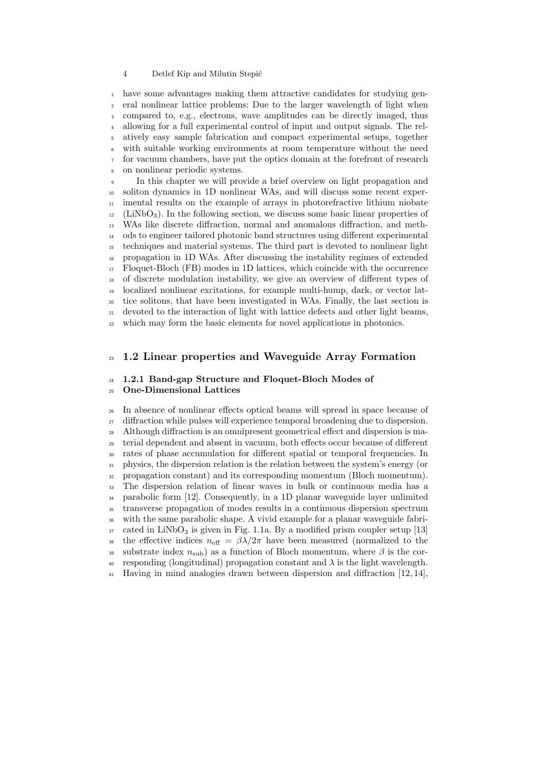#### 4 Detlef Kip and Milutin Stepi´c

 have some advantages making them attractive candidates for studying gen- eral nonlinear lattice problems: Due to the larger wavelength of light when compared to, e.g., electrons, wave amplitudes can be directly imaged, thus allowing for a full experimental control of input and output signals. The rel- atively easy sample fabrication and compact experimental setups, together with suitable working environments at room temperature without the need for vacuum chambers, have put the optics domain at the forefront of research on nonlinear periodic systems.

In this chapter we will provide a brief overview on light propagation and soliton dynamics in 1D nonlinear WAs, and will discuss some recent exper- imental results on the example of arrays in photorefractive lithium niobate (LiNbO<sub>3</sub>). In the following section, we discuss some basic linear properties of WAs like discrete diffraction, normal and anomalous diffraction, and meth- ods to engineer tailored photonic band structures using different experimental techniques and material systems. The third part is devoted to nonlinear light propagation in 1D WAs. After discussing the instability regimes of extended Floquet-Bloch (FB) modes in 1D lattices, which coincide with the occurrence of discrete modulation instability, we give an overview of different types of localized nonlinear excitations, for example multi-hump, dark, or vector lat- tice solitons, that have been investigated in WAs. Finally, the last section is devoted to the interaction of light with lattice defects and other light beams, which may form the basic elements for novel applications in photonics.

# 1.2 Linear properties and Waveguide Array Formation

#### 1.2.1 Band-gap Structure and Floquet-Bloch Modes of One-Dimensional Lattices

 In absence of nonlinear effects optical beams will spread in space because of diffraction while pulses will experience temporal broadening due to dispersion. Although diffraction is an omnipresent geometrical effect and dispersion is ma- terial dependent and absent in vacuum, both effects occur because of different rates of phase accumulation for different spatial or temporal frequencies. In physics, the dispersion relation is the relation between the system's energy (or propagation constant) and its corresponding momentum (Bloch momentum). The dispersion relation of linear waves in bulk or continuous media has a parabolic form [12]. Consequently, in a 1D planar waveguide layer unlimited transverse propagation of modes results in a continuous dispersion spectrum with the same parabolic shape. A vivid example for a planar waveguide fabri- $37 \text{ cated in LiNbO}_3$  is given in Fig. 1.1a. By a modified prism coupler setup [13] 38 the effective indices  $n_{\text{eff}} = \beta \lambda / 2\pi$  have been measured (normalized to the 39 substrate index  $n_{\text{sub}}$ ) as a function of Bloch momentum, where  $\beta$  is the cor-40 responding (longitudinal) propagation constant and  $\lambda$  is the light wavelength. Having in mind analogies drawn between dispersion and diffraction [12, 14],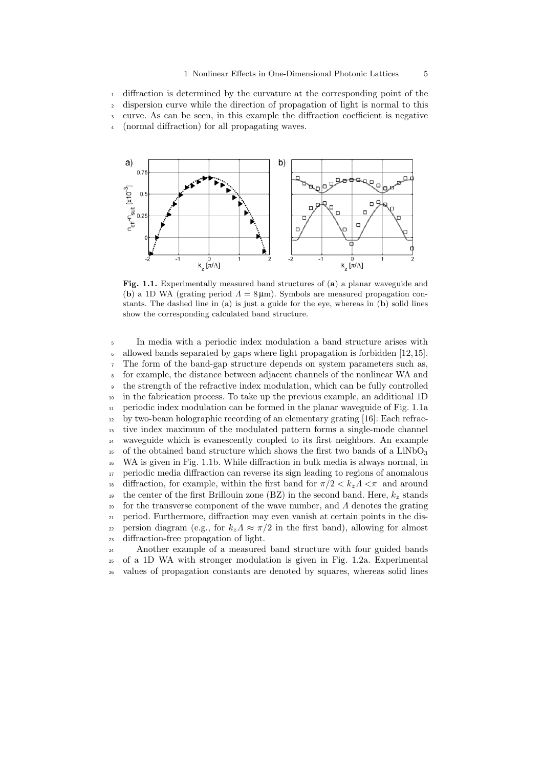diffraction is determined by the curvature at the corresponding point of the dispersion curve while the direction of propagation of light is normal to this curve. As can be seen, in this example the diffraction coefficient is negative (normal diffraction) for all propagating waves.



Fig. 1.1. Experimentally measured band structures of (a) a planar waveguide and (b) a 1D WA (grating period  $\Lambda = 8 \,\mu\text{m}$ ). Symbols are measured propagation constants. The dashed line in (a) is just a guide for the eye, whereas in (b) solid lines show the corresponding calculated band structure.

 In media with a periodic index modulation a band structure arises with allowed bands separated by gaps where light propagation is forbidden [12,15]. The form of the band-gap structure depends on system parameters such as, for example, the distance between adjacent channels of the nonlinear WA and the strength of the refractive index modulation, which can be fully controlled in the fabrication process. To take up the previous example, an additional 1D periodic index modulation can be formed in the planar waveguide of Fig. 1.1a by two-beam holographic recording of an elementary grating [16]: Each refrac- tive index maximum of the modulated pattern forms a single-mode channel waveguide which is evanescently coupled to its first neighbors. An example  $_{15}$  of the obtained band structure which shows the first two bands of a LiNbO<sub>3</sub> WA is given in Fig. 1.1b. While diffraction in bulk media is always normal, in periodic media diffraction can reverse its sign leading to regions of anomalous 18 diffraction, for example, within the first band for  $\pi/2 < k_z \Lambda < \pi$  and around <sup>19</sup> the center of the first Brillouin zone (BZ) in the second band. Here,  $k_z$  stands <sup>20</sup> for the transverse component of the wave number, and  $\Lambda$  denotes the grating period. Furthermore, diffraction may even vanish at certain points in the dis-22 persion diagram (e.g., for  $k_z \Lambda \approx \pi/2$  in the first band), allowing for almost diffraction-free propagation of light.

 Another example of a measured band structure with four guided bands of a 1D WA with stronger modulation is given in Fig. 1.2a. Experimental values of propagation constants are denoted by squares, whereas solid lines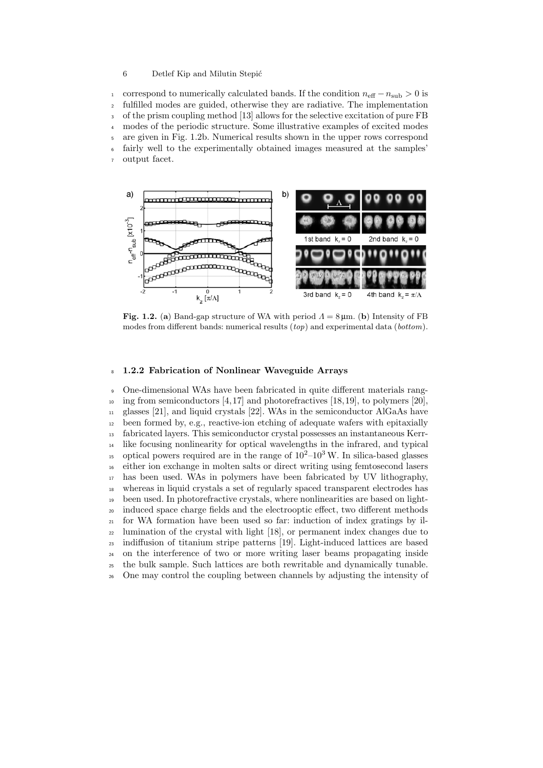#### 6 Detlef Kip and Milutin Stepi´c

1 correspond to numerically calculated bands. If the condition  $n_{\text{eff}} - n_{\text{sub}} > 0$  is fulfilled modes are guided, otherwise they are radiative. The implementation fulfilled modes are guided, otherwise they are radiative. The implementation of the prism coupling method [13] allows for the selective excitation of pure FB modes of the periodic structure. Some illustrative examples of excited modes are given in Fig. 1.2b. Numerical results shown in the upper rows correspond fairly well to the experimentally obtained images measured at the samples' output facet.



Fig. 1.2. (a) Band-gap structure of WA with period  $\Lambda = 8 \,\mu \text{m}$ . (b) Intensity of FB modes from different bands: numerical results  $(top)$  and experimental data  $(bottom)$ .

#### 1.2.2 Fabrication of Nonlinear Waveguide Arrays

 One-dimensional WAs have been fabricated in quite different materials rang- $_{10}$  ing from semiconductors [4,17] and photorefractives [18,19], to polymers [20], glasses [21], and liquid crystals [22]. WAs in the semiconductor AlGaAs have been formed by, e.g., reactive-ion etching of adequate wafers with epitaxially fabricated layers. This semiconductor crystal possesses an instantaneous Kerr- like focusing nonlinearity for optical wavelengths in the infrared, and typical <sup>15</sup> optical powers required are in the range of  $10^{2}-10^{3}$  W. In silica-based glasses either ion exchange in molten salts or direct writing using femtosecond lasers has been used. WAs in polymers have been fabricated by UV lithography, whereas in liquid crystals a set of regularly spaced transparent electrodes has been used. In photorefractive crystals, where nonlinearities are based on light- induced space charge fields and the electrooptic effect, two different methods for WA formation have been used so far: induction of index gratings by il- lumination of the crystal with light [18], or permanent index changes due to indiffusion of titanium stripe patterns [19]. Light-induced lattices are based on the interference of two or more writing laser beams propagating inside the bulk sample. Such lattices are both rewritable and dynamically tunable. One may control the coupling between channels by adjusting the intensity of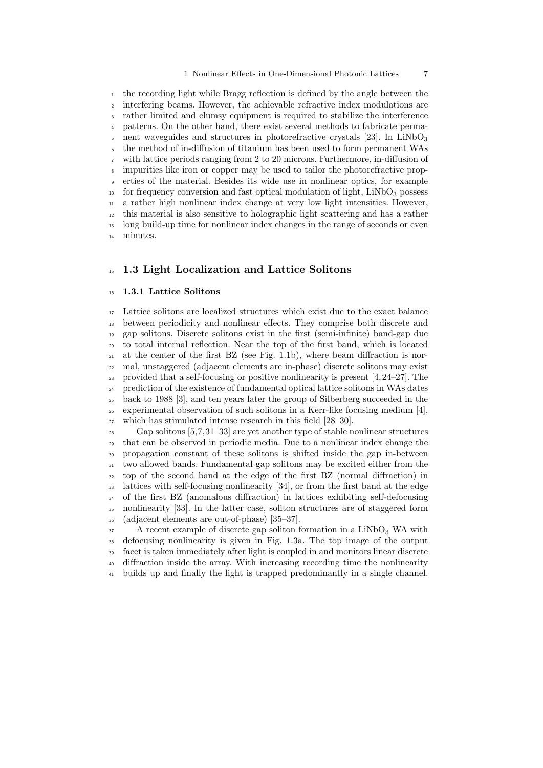#### 1 Nonlinear Effects in One-Dimensional Photonic Lattices 7

 the recording light while Bragg reflection is defined by the angle between the interfering beams. However, the achievable refractive index modulations are rather limited and clumsy equipment is required to stabilize the interference patterns. On the other hand, there exist several methods to fabricate permanent waveguides and structures in photorefractive crystals  $[23]$ . In LiNbO<sub>3</sub> the method of in-diffusion of titanium has been used to form permanent WAs with lattice periods ranging from 2 to 20 microns. Furthermore, in-diffusion of impurities like iron or copper may be used to tailor the photorefractive prop- erties of the material. Besides its wide use in nonlinear optics, for example  $10<sub>10</sub>$  for frequency conversion and fast optical modulation of light, LiNbO<sub>3</sub> possess a rather high nonlinear index change at very low light intensities. However, this material is also sensitive to holographic light scattering and has a rather long build-up time for nonlinear index changes in the range of seconds or even minutes.

## <sup>15</sup> 1.3 Light Localization and Lattice Solitons

#### 1.3.1 Lattice Solitons

 Lattice solitons are localized structures which exist due to the exact balance between periodicity and nonlinear effects. They comprise both discrete and gap solitons. Discrete solitons exist in the first (semi-infinite) band-gap due to total internal reflection. Near the top of the first band, which is located  $_{21}$  at the center of the first BZ (see Fig. 1.1b), where beam diffraction is nor- mal, unstaggered (adjacent elements are in-phase) discrete solitons may exist 23 provided that a self-focusing or positive nonlinearity is present  $[4, 24-27]$ . The prediction of the existence of fundamental optical lattice solitons in WAs dates back to 1988 [3], and ten years later the group of Silberberg succeeded in the  $_{26}$  experimental observation of such solitons in a Kerr-like focusing medium [4], which has stimulated intense research in this field [28–30].

 Gap solitons [5,7,31–33] are yet another type of stable nonlinear structures that can be observed in periodic media. Due to a nonlinear index change the propagation constant of these solitons is shifted inside the gap in-between two allowed bands. Fundamental gap solitons may be excited either from the top of the second band at the edge of the first BZ (normal diffraction) in lattices with self-focusing nonlinearity [34], or from the first band at the edge of the first BZ (anomalous diffraction) in lattices exhibiting self-defocusing nonlinearity [33]. In the latter case, soliton structures are of staggered form (adjacent elements are out-of-phase) [35–37].

<sup>37</sup> A recent example of discrete gap soliton formation in a LiNbO<sub>3</sub> WA with defocusing nonlinearity is given in Fig. 1.3a. The top image of the output facet is taken immediately after light is coupled in and monitors linear discrete diffraction inside the array. With increasing recording time the nonlinearity builds up and finally the light is trapped predominantly in a single channel.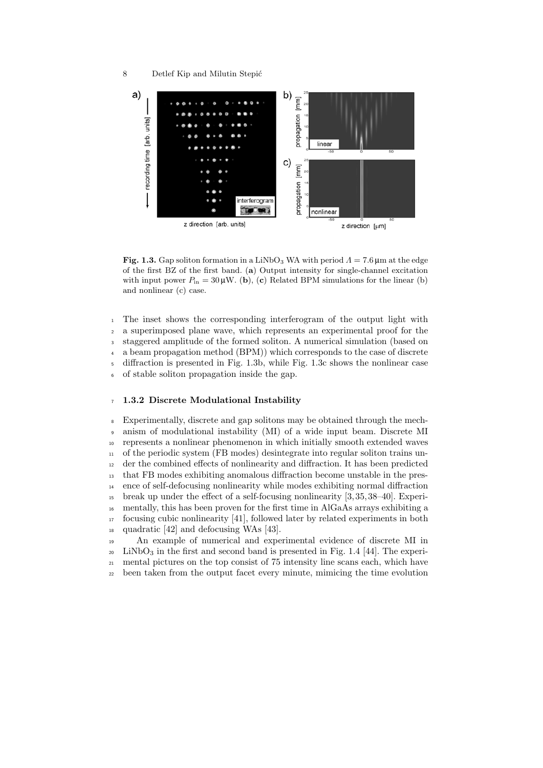#### 8 Detlef Kip and Milutin Stepić



Fig. 1.3. Gap soliton formation in a LiNbO<sub>3</sub> WA with period  $\Lambda = 7.6$  μm at the edge of the first BZ of the first band. (a) Output intensity for single-channel excitation with input power  $P_{\text{in}} = 30 \mu \text{W}$ . (b), (c) Related BPM simulations for the linear (b) and nonlinear (c) case.

 The inset shows the corresponding interferogram of the output light with a superimposed plane wave, which represents an experimental proof for the staggered amplitude of the formed soliton. A numerical simulation (based on a beam propagation method (BPM)) which corresponds to the case of discrete diffraction is presented in Fig. 1.3b, while Fig. 1.3c shows the nonlinear case of stable soliton propagation inside the gap.

#### 1.3.2 Discrete Modulational Instability

 Experimentally, discrete and gap solitons may be obtained through the mech- anism of modulational instability (MI) of a wide input beam. Discrete MI represents a nonlinear phenomenon in which initially smooth extended waves of the periodic system (FB modes) desintegrate into regular soliton trains un- der the combined effects of nonlinearity and diffraction. It has been predicted that FB modes exhibiting anomalous diffraction become unstable in the pres- ence of self-defocusing nonlinearity while modes exhibiting normal diffraction break up under the effect of a self-focusing nonlinearity [3, 35, 38–40]. Experi- mentally, this has been proven for the first time in AlGaAs arrays exhibiting a focusing cubic nonlinearity [41], followed later by related experiments in both quadratic [42] and defocusing WAs [43].

 An example of numerical and experimental evidence of discrete MI in LiNbO<sub>3</sub> in the first and second band is presented in Fig. 1.4 [44]. The experi- mental pictures on the top consist of 75 intensity line scans each, which have been taken from the output facet every minute, mimicing the time evolution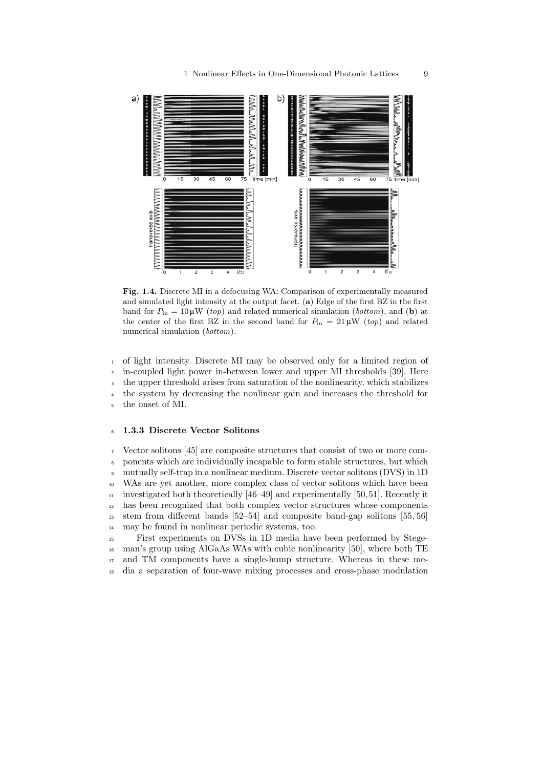

Fig. 1.4. Discrete MI in a defocusing WA: Comparison of experimentally measured and simulated light intensity at the output facet. (a) Edge of the first BZ in the first band for  $P_{\text{in}} = 10 \mu \text{W}$  (top) and related numerical simulation (bottom), and (b) at the center of the first BZ in the second band for  $P_{\text{in}} = 21 \,\mu\text{W}$  (top) and related numerical simulation (*bottom*).

 of light intensity. Discrete MI may be observed only for a limited region of in-coupled light power in-between lower and upper MI thresholds [39]. Here the upper threshold arises from saturation of the nonlinearity, which stabilizes the system by decreasing the nonlinear gain and increases the threshold for the onset of MI.

#### 1.3.3 Discrete Vector Solitons

 Vector solitons [45] are composite structures that consist of two or more com- ponents which are individually incapable to form stable structures, but which mutually self-trap in a nonlinear medium. Discrete vector solitons (DVS) in 1D WAs are yet another, more complex class of vector solitons which have been  $_{11}$  investigated both theoretically [46–49] and experimentally [50,51]. Recently it has been recognized that both complex vector structures whose components stem from different bands [52–54] and composite band-gap solitons [55, 56] may be found in nonlinear periodic systems, too.

 First experiments on DVSs in 1D media have been performed by Stege- man's group using AlGaAs WAs with cubic nonlinearity [50], where both TE and TM components have a single-hump structure. Whereas in these me-dia a separation of four-wave mixing processes and cross-phase modulation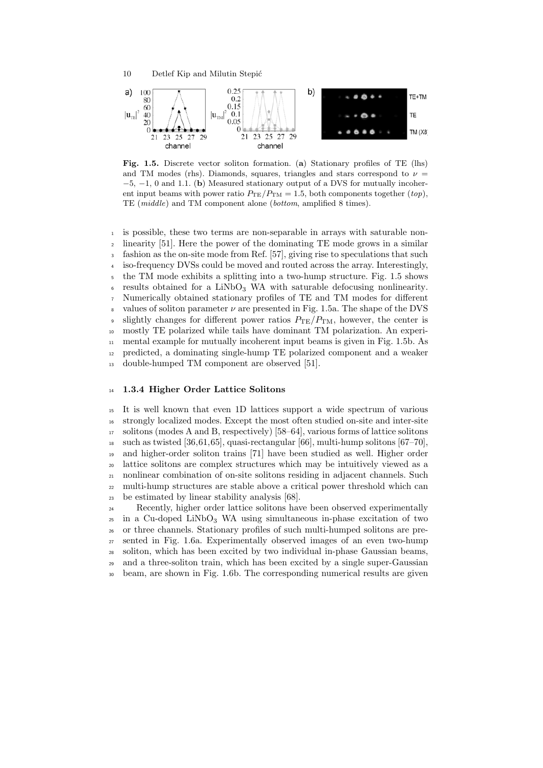



Fig. 1.5. Discrete vector soliton formation. (a) Stationary profiles of TE (lhs) and TM modes (rhs). Diamonds, squares, triangles and stars correspond to  $\nu =$  $-5, -1, 0$  and 1.1. (b) Measured stationary output of a DVS for mutually incoherent input beams with power ratio  $P_{TE}/P_{TM} = 1.5$ , both components together  $(top)$ , TE (middle) and TM component alone (bottom, amplified 8 times).

 is possible, these two terms are non-separable in arrays with saturable non- linearity [51]. Here the power of the dominating TE mode grows in a similar fashion as the on-site mode from Ref. [57], giving rise to speculations that such iso-frequency DVSs could be moved and routed across the array. Interestingly, the TM mode exhibits a splitting into a two-hump structure. Fig. 1.5 shows results obtained for a LiNbO<sub>3</sub> WA with saturable defocusing nonlinearity. Numerically obtained stationary profiles of TE and TM modes for different values of soliton parameter  $\nu$  are presented in Fig. 1.5a. The shape of the DVS 9 slightly changes for different power ratios  $P_{\text{TE}}/P_{\text{TM}}$ , however, the center is mostly TE polarized while tails have dominant TM polarization. An experi- mental example for mutually incoherent input beams is given in Fig. 1.5b. As predicted, a dominating single-hump TE polarized component and a weaker double-humped TM component are observed [51].

#### 1.3.4 Higher Order Lattice Solitons

 It is well known that even 1D lattices support a wide spectrum of various strongly localized modes. Except the most often studied on-site and inter-site solitons (modes A and B, respectively) [58–64], various forms of lattice solitons <sup>18</sup> such as twisted [36,61,65], quasi-rectangular [66], multi-hump solitons  $[67-70]$ , and higher-order soliton trains [71] have been studied as well. Higher order lattice solitons are complex structures which may be intuitively viewed as a nonlinear combination of on-site solitons residing in adjacent channels. Such multi-hump structures are stable above a critical power threshold which can be estimated by linear stability analysis [68].

 Recently, higher order lattice solitons have been observed experimentally  $_{25}$  in a Cu-doped LiNbO<sub>3</sub> WA using simultaneous in-phase excitation of two or three channels. Stationary profiles of such multi-humped solitons are pre- sented in Fig. 1.6a. Experimentally observed images of an even two-hump soliton, which has been excited by two individual in-phase Gaussian beams, and a three-soliton train, which has been excited by a single super-Gaussian beam, are shown in Fig. 1.6b. The corresponding numerical results are given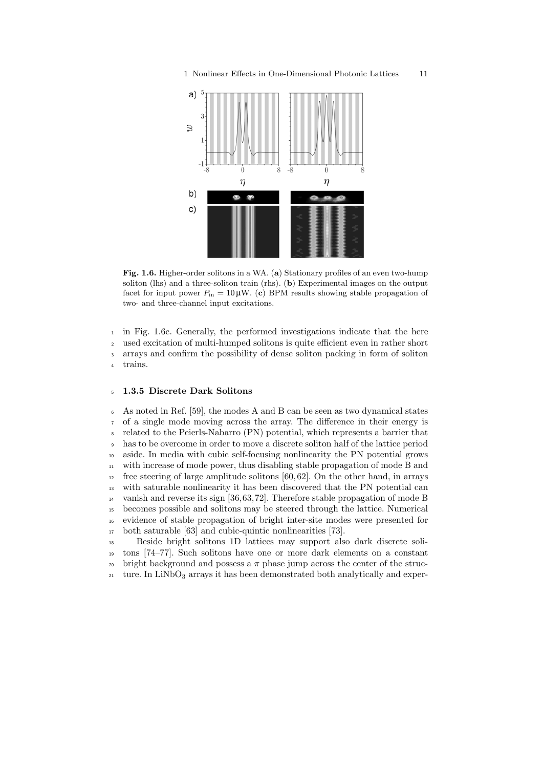

Fig. 1.6. Higher-order solitons in a WA. (a) Stationary profiles of an even two-hump soliton (lhs) and a three-soliton train (rhs). (b) Experimental images on the output facet for input power  $P_{\text{in}} = 10 \,\mu\text{W}$ . (c) BPM results showing stable propagation of two- and three-channel input excitations.

 in Fig. 1.6c. Generally, the performed investigations indicate that the here used excitation of multi-humped solitons is quite efficient even in rather short arrays and confirm the possibility of dense soliton packing in form of soliton trains.

#### 1.3.5 Discrete Dark Solitons

 As noted in Ref. [59], the modes A and B can be seen as two dynamical states of a single mode moving across the array. The difference in their energy is related to the Peierls-Nabarro (PN) potential, which represents a barrier that has to be overcome in order to move a discrete soliton half of the lattice period aside. In media with cubic self-focusing nonlinearity the PN potential grows with increase of mode power, thus disabling stable propagation of mode B and  $_{12}$  free steering of large amplitude solitons [60, 62]. On the other hand, in arrays with saturable nonlinearity it has been discovered that the PN potential can vanish and reverse its sign [36,63,72]. Therefore stable propagation of mode B becomes possible and solitons may be steered through the lattice. Numerical evidence of stable propagation of bright inter-site modes were presented for both saturable [63] and cubic-quintic nonlinearities [73].

 Beside bright solitons 1D lattices may support also dark discrete soli- tons [74–77]. Such solitons have one or more dark elements on a constant <sup>20</sup> bright background and possess a  $\pi$  phase jump across the center of the struc- $_{21}$  ture. In LiNbO<sub>3</sub> arrays it has been demonstrated both analytically and exper-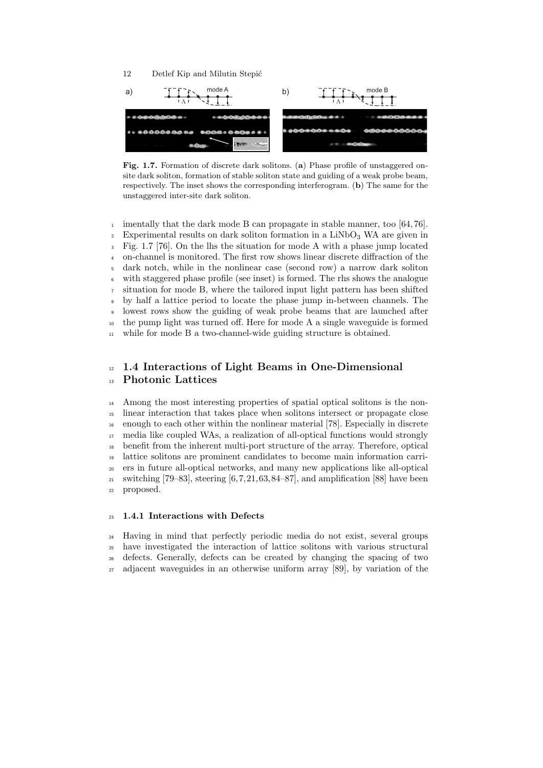



Fig. 1.7. Formation of discrete dark solitons. (a) Phase profile of unstaggered onsite dark soliton, formation of stable soliton state and guiding of a weak probe beam, respectively. The inset shows the corresponding interferogram. (b) The same for the unstaggered inter-site dark soliton.

<sup>1</sup> imentally that the dark mode B can propagate in stable manner, too [64,76]. <sup>2</sup> Experimental results on dark soliton formation in a  $LiNbO<sub>3</sub> WA$  are given in Fig. 1.7 [76]. On the lhs the situation for mode A with a phase jump located on-channel is monitored. The first row shows linear discrete diffraction of the dark notch, while in the nonlinear case (second row) a narrow dark soliton with staggered phase profile (see inset) is formed. The rhs shows the analogue situation for mode B, where the tailored input light pattern has been shifted by half a lattice period to locate the phase jump in-between channels. The lowest rows show the guiding of weak probe beams that are launched after the pump light was turned off. Here for mode A a single waveguide is formed while for mode B a two-channel-wide guiding structure is obtained.

# <sup>12</sup> 1.4 Interactions of Light Beams in One-Dimensional Photonic Lattices

 Among the most interesting properties of spatial optical solitons is the non- linear interaction that takes place when solitons intersect or propagate close enough to each other within the nonlinear material [78]. Especially in discrete media like coupled WAs, a realization of all-optical functions would strongly benefit from the inherent multi-port structure of the array. Therefore, optical lattice solitons are prominent candidates to become main information carri- ers in future all-optical networks, and many new applications like all-optical <sup>21</sup> switching [79–83], steering [6,7,21,63,84–87], and amplification [88] have been proposed.

#### 1.4.1 Interactions with Defects

 Having in mind that perfectly periodic media do not exist, several groups have investigated the interaction of lattice solitons with various structural defects. Generally, defects can be created by changing the spacing of two adjacent waveguides in an otherwise uniform array [89], by variation of the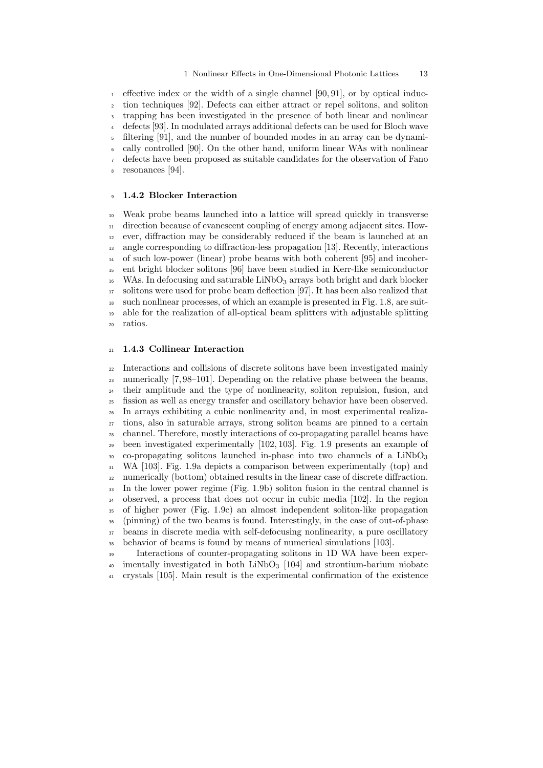#### 1 Nonlinear Effects in One-Dimensional Photonic Lattices 13

effective index or the width of a single channel  $[90, 91]$ , or by optical induc- tion techniques [92]. Defects can either attract or repel solitons, and soliton trapping has been investigated in the presence of both linear and nonlinear defects [93]. In modulated arrays additional defects can be used for Bloch wave filtering [91], and the number of bounded modes in an array can be dynami- cally controlled [90]. On the other hand, uniform linear WAs with nonlinear defects have been proposed as suitable candidates for the observation of Fano resonances [94].

### 1.4.2 Blocker Interaction

 Weak probe beams launched into a lattice will spread quickly in transverse direction because of evanescent coupling of energy among adjacent sites. How- ever, diffraction may be considerably reduced if the beam is launched at an angle corresponding to diffraction-less propagation [13]. Recently, interactions of such low-power (linear) probe beams with both coherent [95] and incoher- ent bright blocker solitons [96] have been studied in Kerr-like semiconductor WAs. In defocusing and saturable LiNbO<sub>3</sub> arrays both bright and dark blocker solitons were used for probe beam deflection [97]. It has been also realized that such nonlinear processes, of which an example is presented in Fig. 1.8, are suit- able for the realization of all-optical beam splitters with adjustable splitting ratios.

#### 1.4.3 Collinear Interaction

 Interactions and collisions of discrete solitons have been investigated mainly numerically [7, 98–101]. Depending on the relative phase between the beams, their amplitude and the type of nonlinearity, soliton repulsion, fusion, and fission as well as energy transfer and oscillatory behavior have been observed. In arrays exhibiting a cubic nonlinearity and, in most experimental realiza- tions, also in saturable arrays, strong soliton beams are pinned to a certain channel. Therefore, mostly interactions of co-propagating parallel beams have been investigated experimentally [102, 103]. Fig. 1.9 presents an example of co-propagating solitons launched in-phase into two channels of a LiNbO<sub>3</sub> WA [103]. Fig. 1.9a depicts a comparison between experimentally (top) and numerically (bottom) obtained results in the linear case of discrete diffraction. In the lower power regime (Fig. 1.9b) soliton fusion in the central channel is observed, a process that does not occur in cubic media [102]. In the region of higher power (Fig. 1.9c) an almost independent soliton-like propagation (pinning) of the two beams is found. Interestingly, in the case of out-of-phase beams in discrete media with self-defocusing nonlinearity, a pure oscillatory behavior of beams is found by means of numerical simulations [103].

 Interactions of counter-propagating solitons in 1D WA have been exper- $\frac{40}{40}$  imentally investigated in both LiNbO<sub>3</sub> [104] and strontium-barium niobate crystals [105]. Main result is the experimental confirmation of the existence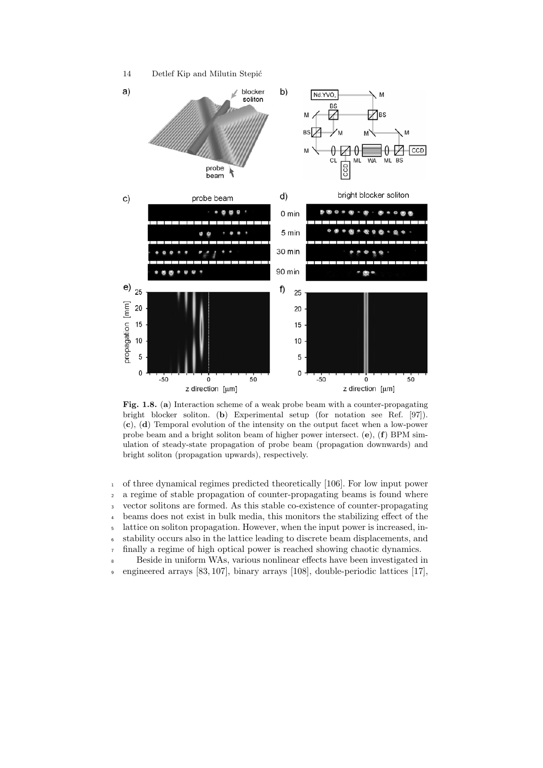

Fig. 1.8. (a) Interaction scheme of a weak probe beam with a counter-propagating bright blocker soliton. (b) Experimental setup (for notation see Ref. [97]). (c), (d) Temporal evolution of the intensity on the output facet when a low-power probe beam and a bright soliton beam of higher power intersect.  $(e)$ ,  $(f)$  BPM simulation of steady-state propagation of probe beam (propagation downwards) and bright soliton (propagation upwards), respectively.

 of three dynamical regimes predicted theoretically [106]. For low input power a regime of stable propagation of counter-propagating beams is found where vector solitons are formed. As this stable co-existence of counter-propagating beams does not exist in bulk media, this monitors the stabilizing effect of the lattice on soliton propagation. However, when the input power is increased, in-stability occurs also in the lattice leading to discrete beam displacements, and

<sup>7</sup> finally a regime of high optical power is reached showing chaotic dynamics.

<sup>8</sup> Beside in uniform WAs, various nonlinear effects have been investigated in

<sup>9</sup> engineered arrays [83, 107], binary arrays [108], double-periodic lattices [17],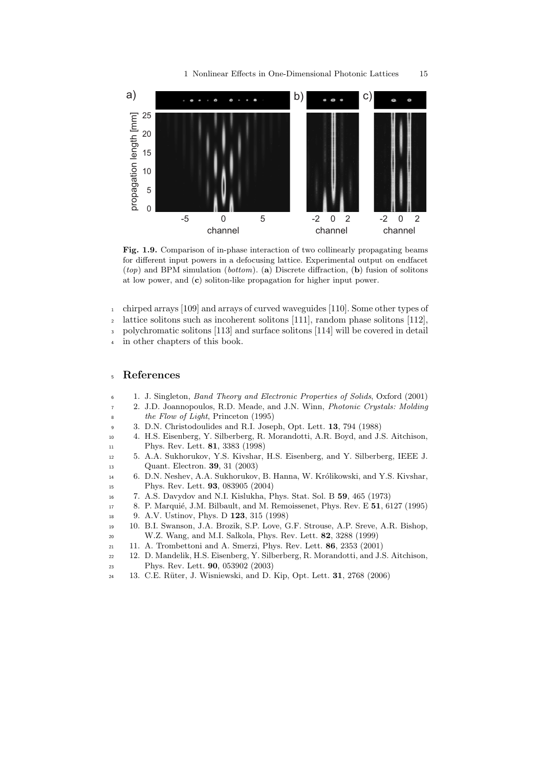

Fig. 1.9. Comparison of in-phase interaction of two collinearly propagating beams for different input powers in a defocusing lattice. Experimental output on endfacet  $(top)$  and BPM simulation (*bottom*). (a) Discrete diffraction, (b) fusion of solitons at low power, and (c) soliton-like propagation for higher input power.

- chirped arrays [109] and arrays of curved waveguides [110]. Some other types of lattice solitons such as incoherent solitons [111], random phase solitons [112],
- polychromatic solitons [113] and surface solitons [114] will be covered in detail in other chapters of this book.

#### References

- 1. J. Singleton, Band Theory and Electronic Properties of Solids, Oxford (2001)
- 2. J.D. Joannopoulos, R.D. Meade, and J.N. Winn, Photonic Crystals: Molding the Flow of Light, Princeton (1995)
- 3. D.N. Christodoulides and R.I. Joseph, Opt. Lett. 13, 794 (1988)
- 4. H.S. Eisenberg, Y. Silberberg, R. Morandotti, A.R. Boyd, and J.S. Aitchison, Phys. Rev. Lett. 81, 3383 (1998)
- 5. A.A. Sukhorukov, Y.S. Kivshar, H.S. Eisenberg, and Y. Silberberg, IEEE J. Quant. Electron. 39, 31 (2003)
- 14 6. D.N. Neshev, A.A. Sukhorukov, B. Hanna, W. Królikowski, and Y.S. Kivshar, Phys. Rev. Lett. 93, 083905 (2004)
- 7. A.S. Davydov and N.I. Kislukha, Phys. Stat. Sol. B 59, 465 (1973)
- 17 8. P. Marquié, J.M. Bilbault, and M. Remoissenet, Phys. Rev. E 51, 6127 (1995)
- 9. A.V. Ustinov, Phys. D 123, 315 (1998)
- 10. B.I. Swanson, J.A. Brozik, S.P. Love, G.F. Strouse, A.P. Sreve, A.R. Bishop, W.Z. Wang, and M.I. Salkola, Phys. Rev. Lett. 82, 3288 (1999)
- 11. A. Trombettoni and A. Smerzi, Phys. Rev. Lett. 86, 2353 (2001)
- 12. D. Mandelik, H.S. Eisenberg, Y. Silberberg, R. Morandotti, and J.S. Aitchison, Phys. Rev. Lett. 90, 053902 (2003)
- 13. C.E. R¨uter, J. Wisniewski, and D. Kip, Opt. Lett. 31, 2768 (2006)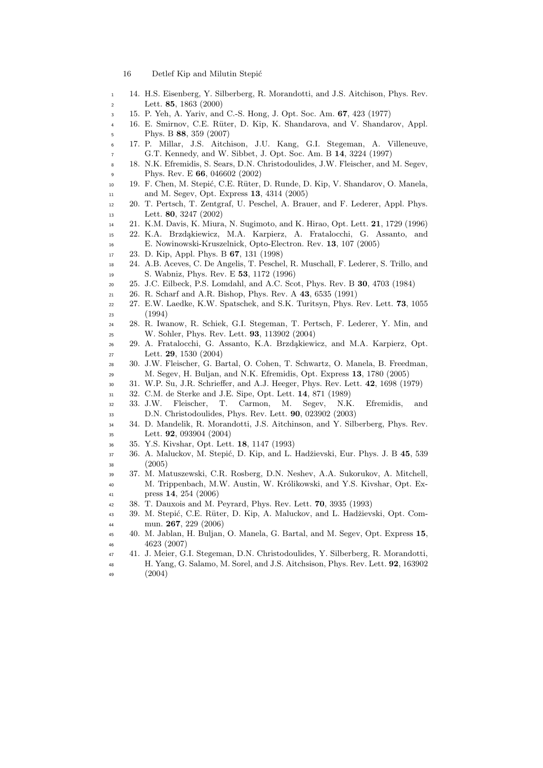- 16 Detlef Kip and Milutin Stepić
- 14. H.S. Eisenberg, Y. Silberberg, R. Morandotti, and J.S. Aitchison, Phys. Rev. Lett. 85, 1863 (2000)
- 15. P. Yeh, A. Yariv, and C.-S. Hong, J. Opt. Soc. Am. 67, 423 (1977)
- 4 16. E. Smirnov, C.E. Rüter, D. Kip, K. Shandarova, and V. Shandarov, Appl. Phys. B 88, 359 (2007)
- 17. P. Millar, J.S. Aitchison, J.U. Kang, G.I. Stegeman, A. Villeneuve, G.T. Kennedy, and W. Sibbet, J. Opt. Soc. Am. B 14, 3224 (1997)
- 18. N.K. Efremidis, S. Sears, D.N. Christodoulides, J.W. Fleischer, and M. Segev, Phys. Rev. E 66, 046602 (2002)
- 19. F. Chen, M. Stepi´c, C.E. R¨uter, D. Runde, D. Kip, V. Shandarov, O. Manela, and M. Segev, Opt. Express 13, 4314 (2005)
- 20. T. Pertsch, T. Zentgraf, U. Peschel, A. Brauer, and F. Lederer, Appl. Phys. Lett. 80, 3247 (2002)
- 21. K.M. Davis, K. Miura, N. Sugimoto, and K. Hirao, Opt. Lett. 21, 1729 (1996)
- 15 22. K.A. Brzdąkiewicz, M.A. Karpierz, A. Fratalocchi, G. Assanto, and E. Nowinowski-Kruszelnick, Opto-Electron. Rev. 13, 107 (2005)
- 23. D. Kip, Appl. Phys. B 67, 131 (1998)
- 24. A.B. Aceves, C. De Angelis, T. Peschel, R. Muschall, F. Lederer, S. Trillo, and S. Wabniz, Phys. Rev. E 53, 1172 (1996)
- 25. J.C. Eilbeck, P.S. Lomdahl, and A.C. Scot, Phys. Rev. B 30, 4703 (1984)
- 26. R. Scharf and A.R. Bishop, Phys. Rev. A 43, 6535 (1991)
- 27. E.W. Laedke, K.W. Spatschek, and S.K. Turitsyn, Phys. Rev. Lett. 73, 1055 (1994)
- 28. R. Iwanow, R. Schiek, G.I. Stegeman, T. Pertsch, F. Lederer, Y. Min, and W. Sohler, Phys. Rev. Lett. 93, 113902 (2004)
- 26 29. A. Fratalocchi, G. Assanto, K.A. Brzdąkiewicz, and M.A. Karpierz, Opt. Lett. 29, 1530 (2004)
- 30. J.W. Fleischer, G. Bartal, O. Cohen, T. Schwartz, O. Manela, B. Freedman, M. Segev, H. Buljan, and N.K. Efremidis, Opt. Express 13, 1780 (2005)
- 31. W.P. Su, J.R. Schrieffer, and A.J. Heeger, Phys. Rev. Lett. 42, 1698 (1979)
- 32. C.M. de Sterke and J.E. Sipe, Opt. Lett. 14, 871 (1989)
- 33. J.W. Fleischer, T. Carmon, M. Segev, N.K. Efremidis, and D.N. Christodoulides, Phys. Rev. Lett. 90, 023902 (2003)
- 34. D. Mandelik, R. Morandotti, J.S. Aitchinson, and Y. Silberberg, Phys. Rev. Lett. 92, 093904 (2004)
- 35. Y.S. Kivshar, Opt. Lett. 18, 1147 (1993)
- 37 36. A. Maluckov, M. Stepić, D. Kip, and L. Hadžievski, Eur. Phys. J. B 45, 539 (2005)
- 37. M. Matuszewski, C.R. Rosberg, D.N. Neshev, A.A. Sukorukov, A. Mitchell, 40 M. Trippenbach, M.W. Austin, W. Królikowski, and Y.S. Kivshar, Opt. Ex-press 14, 254 (2006)
- 38. T. Dauxois and M. Peyrard, Phys. Rev. Lett. 70, 3935 (1993)
- 43 39. M. Stepić, C.E. Rüter, D. Kip, A. Maluckov, and L. Hadžievski, Opt. Com-mun. 267, 229 (2006)
- 40. M. Jablan, H. Buljan, O. Manela, G. Bartal, and M. Segev, Opt. Express 15, 4623 (2007)
- 41. J. Meier, G.I. Stegeman, D.N. Christodoulides, Y. Silberberg, R. Morandotti,
- H. Yang, G. Salamo, M. Sorel, and J.S. Aitchsison, Phys. Rev. Lett. 92, 163902 (2004)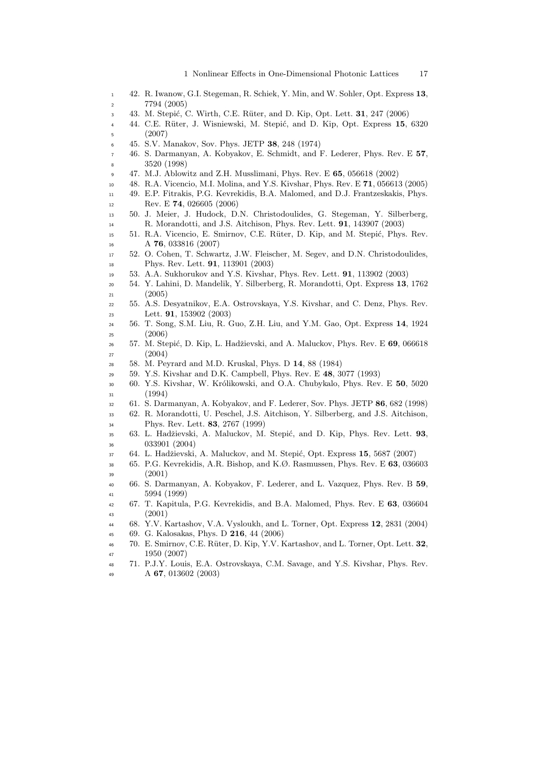1 Nonlinear Effects in One-Dimensional Photonic Lattices 17

- 42. R. Iwanow, G.I. Stegeman, R. Schiek, Y. Min, and W. Sohler, Opt. Express 13, 7794 (2005)
- 3 43. M. Stepić, C. Wirth, C.E. Rüter, and D. Kip, Opt. Lett. 31, 247 (2006)
- 44. C.E. Rüter, J. Wisniewski, M. Stepić, and D. Kip, Opt. Express 15, 6320  $5 \t(2007)$
- 45. S.V. Manakov, Sov. Phys. JETP 38, 248 (1974)
- 46. S. Darmanyan, A. Kobyakov, E. Schmidt, and F. Lederer, Phys. Rev. E 57, 3520 (1998)
- 47. M.J. Ablowitz and Z.H. Musslimani, Phys. Rev. E 65, 056618 (2002)
- 48. R.A. Vicencio, M.I. Molina, and Y.S. Kivshar, Phys. Rev. E 71, 056613 (2005)
- 49. E.P. Fitrakis, P.G. Kevrekidis, B.A. Malomed, and D.J. Frantzeskakis, Phys. 12 Rev. E **74**, 026605 (2006)
- 50. J. Meier, J. Hudock, D.N. Christodoulides, G. Stegeman, Y. Silberberg, R. Morandotti, and J.S. Aitchison, Phys. Rev. Lett. 91, 143907 (2003)
- 15 51. R.A. Vicencio, E. Smirnov, C.E. Rüter, D. Kip, and M. Stepić, Phys. Rev. A 76, 033816 (2007)
- 52. O. Cohen, T. Schwartz, J.W. Fleischer, M. Segev, and D.N. Christodoulides, Phys. Rev. Lett. 91, 113901 (2003)
- 53. A.A. Sukhorukov and Y.S. Kivshar, Phys. Rev. Lett. 91, 113902 (2003)
- 54. Y. Lahini, D. Mandelik, Y. Silberberg, R. Morandotti, Opt. Express 13, 1762 (2005)
- 55. A.S. Desyatnikov, E.A. Ostrovskaya, Y.S. Kivshar, and C. Denz, Phys. Rev. Lett. 91, 153902 (2003)
- 56. T. Song, S.M. Liu, R. Guo, Z.H. Liu, and Y.M. Gao, Opt. Express 14, 1924 (2006)
- <sup>26</sup> 57. M. Stepić, D. Kip, L. Hadžievski, and A. Maluckov, Phys. Rev. E 69, 066618 (2004)
- 58. M. Peyrard and M.D. Kruskal, Phys. D 14, 88 (1984)
- 59. Y.S. Kivshar and D.K. Campbell, Phys. Rev. E 48, 3077 (1993)
- 30 60. Y.S. Kivshar, W. Królikowski, and O.A. Chubykalo, Phys. Rev. E 50, 5020 (1994)
- 61. S. Darmanyan, A. Kobyakov, and F. Lederer, Sov. Phys. JETP 86, 682 (1998)
- 62. R. Morandotti, U. Peschel, J.S. Aitchison, Y. Silberberg, and J.S. Aitchison, Phys. Rev. Lett. 83, 2767 (1999)
- 35 63. L. Hadžievski, A. Maluckov, M. Stepić, and D. Kip, Phys. Rev. Lett. 93, 033901 (2004)
- 37 64. L. Hadžievski, A. Maluckov, and M. Stepić, Opt. Express 15, 5687 (2007)
- 65. P.G. Kevrekidis, A.R. Bishop, and K.Ø. Rasmussen, Phys. Rev. E 63, 036603 (2001)
- 66. S. Darmanyan, A. Kobyakov, F. Lederer, and L. Vazquez, Phys. Rev. B 59, 5994 (1999)
- 67. T. Kapitula, P.G. Kevrekidis, and B.A. Malomed, Phys. Rev. E 63, 036604 (2001)
- 68. Y.V. Kartashov, V.A. Vysloukh, and L. Torner, Opt. Express 12, 2831 (2004)
- 69. G. Kalosakas, Phys. D 216, 44 (2006)
- 46 70. E. Smirnov, C.E. Rüter, D. Kip, Y.V. Kartashov, and L. Torner, Opt. Lett. 32, 1950 (2007)
- 71. P.J.Y. Louis, E.A. Ostrovskaya, C.M. Savage, and Y.S. Kivshar, Phys. Rev. A 67, 013602 (2003)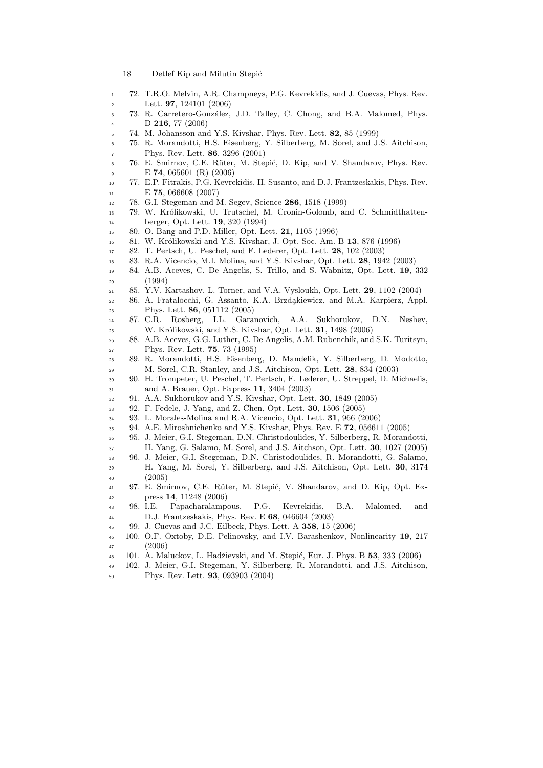- 18 Detlef Kip and Milutin Stepić
- 72. T.R.O. Melvin, A.R. Champneys, P.G. Kevrekidis, and J. Cuevas, Phys. Rev. Lett. 97, 124101 (2006)
- 3 73. R. Carretero-González, J.D. Talley, C. Chong, and B.A. Malomed, Phys. D 216, 77 (2006)
- 74. M. Johansson and Y.S. Kivshar, Phys. Rev. Lett. 82, 85 (1999)
- 75. R. Morandotti, H.S. Eisenberg, Y. Silberberg, M. Sorel, and J.S. Aitchison, Phys. Rev. Lett. 86, 3296 (2001)
- 8 76. E. Smirnov, C.E. Rüter, M. Stepić, D. Kip, and V. Shandarov, Phys. Rev. E 74, 065601 (R) (2006)
- 77. E.P. Fitrakis, P.G. Kevrekidis, H. Susanto, and D.J. Frantzeskakis, Phys. Rev. 11 E **75**, 066608 (2007)
- 78. G.I. Stegeman and M. Segev, Science 286, 1518 (1999)
- 79. W. Kr´olikowski, U. Trutschel, M. Cronin-Golomb, and C. Schmidthatten-berger, Opt. Lett. 19, 320 (1994)
- 80. O. Bang and P.D. Miller, Opt. Lett. 21, 1105 (1996)
- 16 81. W. Królikowski and Y.S. Kivshar, J. Opt. Soc. Am. B 13, 876 (1996)
- 82. T. Pertsch, U. Peschel, and F. Lederer, Opt. Lett. 28, 102 (2003)
- 83. R.A. Vicencio, M.I. Molina, and Y.S. Kivshar, Opt. Lett. 28, 1942 (2003)
- 84. A.B. Aceves, C. De Angelis, S. Trillo, and S. Wabnitz, Opt. Lett. 19, 332 (1994)
- 85. Y.V. Kartashov, L. Torner, and V.A. Vysloukh, Opt. Lett. 29, 1102 (2004)
- <sup>22</sup> 86. A. Fratalocchi, G. Assanto, K.A. Brzdąkiewicz, and M.A. Karpierz, Appl. Phys. Lett. 86, 051112 (2005)
- 87. C.R. Rosberg, I.L. Garanovich, A.A. Sukhorukov, D.N. Neshev, <sup>25</sup> W. Królikowski, and Y.S. Kivshar, Opt. Lett. **31**, 1498 (2006)
- 88. A.B. Aceves, G.G. Luther, C. De Angelis, A.M. Rubenchik, and S.K. Turitsyn, Phys. Rev. Lett. 75, 73 (1995)
- 89. R. Morandotti, H.S. Eisenberg, D. Mandelik, Y. Silberberg, D. Modotto, M. Sorel, C.R. Stanley, and J.S. Aitchison, Opt. Lett. 28, 834 (2003)
- 90. H. Trompeter, U. Peschel, T. Pertsch, F. Lederer, U. Streppel, D. Michaelis, and A. Brauer, Opt. Express 11, 3404 (2003)
- 91. A.A. Sukhorukov and Y.S. Kivshar, Opt. Lett. 30, 1849 (2005)
- 92. F. Fedele, J. Yang, and Z. Chen, Opt. Lett. 30, 1506 (2005)
- 93. L. Morales-Molina and R.A. Vicencio, Opt. Lett. 31, 966 (2006)
- 94. A.E. Miroshnichenko and Y.S. Kivshar, Phys. Rev. E 72, 056611 (2005)
- 95. J. Meier, G.I. Stegeman, D.N. Christodoulides, Y. Silberberg, R. Morandotti, H. Yang, G. Salamo, M. Sorel, and J.S. Aitchson, Opt. Lett. 30, 1027 (2005)
- 96. J. Meier, G.I. Stegeman, D.N. Christodoulides, R. Morandotti, G. Salamo, H. Yang, M. Sorel, Y. Silberberg, and J.S. Aitchison, Opt. Lett. 30, 3174 (2005)
- 41 97. E. Smirnov, C.E. Rüter, M. Stepić, V. Shandarov, and D. Kip, Opt. Ex-press 14, 11248 (2006)
- 98. I.E. Papacharalampous, P.G. Kevrekidis, B.A. Malomed, and D.J. Frantzeskakis, Phys. Rev. E 68, 046604 (2003)
- 99. J. Cuevas and J.C. Eilbeck, Phys. Lett. A 358, 15 (2006)
- 100. O.F. Oxtoby, D.E. Pelinovsky, and I.V. Barashenkov, Nonlinearity 19, 217  $(2006)$
- 48 101. A. Maluckov, L. Hadžievski, and M. Stepić, Eur. J. Phys. B 53, 333 (2006)
- 102. J. Meier, G.I. Stegeman, Y. Silberberg, R. Morandotti, and J.S. Aitchison,
- Phys. Rev. Lett. 93, 093903 (2004)